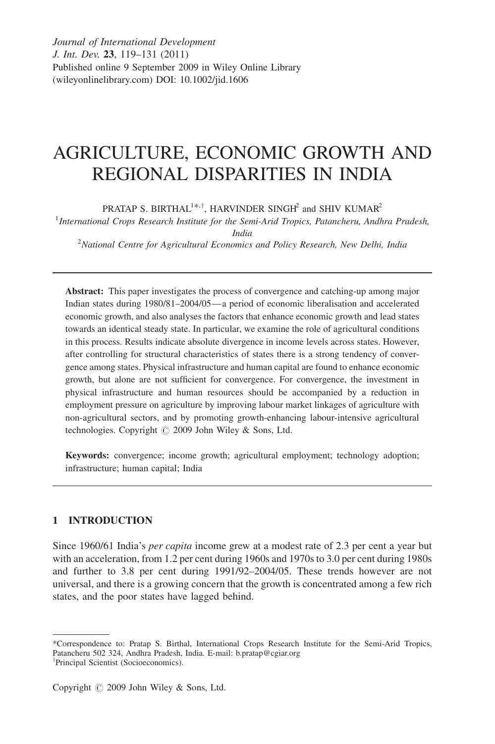Journal of International Development J. Int. Dev. 23, 119–131 (2011) Published online 9 September 2009 in Wiley Online Library (wileyonlinelibrary.com) DOI: 10.1002/jid.1606

# AGRICULTURE, ECONOMIC GROWTH AND REGIONAL DISPARITIES IN INDIA

PRATAP S. BIRTHAL<sup>1\*,†</sup>, HARVINDER SINGH<sup>2</sup> and SHIV KUMAR<sup>2</sup>

<sup>1</sup>International Crops Research Institute for the Semi-Arid Tropics, Patancheru, Andhra Pradesh,

India <sup>2</sup> National Centre for Agricultural Economics and Policy Research, New Delhi, India

Abstract: This paper investigates the process of convergence and catching-up among major Indian states during 1980/81–2004/05—a period of economic liberalisation and accelerated economic growth, and also analyses the factors that enhance economic growth and lead states towards an identical steady state. In particular, we examine the role of agricultural conditions in this process. Results indicate absolute divergence in income levels across states. However, after controlling for structural characteristics of states there is a strong tendency of convergence among states. Physical infrastructure and human capital are found to enhance economic growth, but alone are not sufficient for convergence. For convergence, the investment in physical infrastructure and human resources should be accompanied by a reduction in employment pressure on agriculture by improving labour market linkages of agriculture with non-agricultural sectors, and by promoting growth-enhancing labour-intensive agricultural technologies. Copyright  $\odot$  2009 John Wiley & Sons, Ltd.

Keywords: convergence; income growth; agricultural employment; technology adoption; infrastructure; human capital; India

#### 1 INTRODUCTION

Since 1960/61 India's *per capita* income grew at a modest rate of 2.3 per cent a year but with an acceleration, from 1.2 per cent during 1960s and 1970s to 3.0 per cent during 1980s and further to 3.8 per cent during 1991/92–2004/05. These trends however are not universal, and there is a growing concern that the growth is concentrated among a few rich states, and the poor states have lagged behind.

<sup>\*</sup>Correspondence to: Pratap S. Birthal, International Crops Research Institute for the Semi-Arid Tropics, Patancheru 502 324, Andhra Pradesh, India. E-mail: b.pratap@cgiar.org <sup>†</sup>Principal Scientist (Socioeconomics).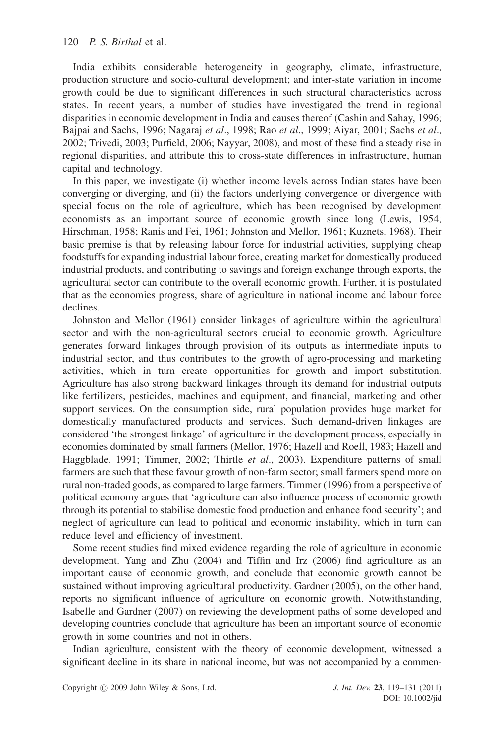India exhibits considerable heterogeneity in geography, climate, infrastructure, production structure and socio-cultural development; and inter-state variation in income growth could be due to significant differences in such structural characteristics across states. In recent years, a number of studies have investigated the trend in regional disparities in economic development in India and causes thereof (Cashin and Sahay, 1996; Bajpai and Sachs, 1996; Nagaraj et al., 1998; Rao et al., 1999; Aiyar, 2001; Sachs et al., 2002; Trivedi, 2003; Purfield, 2006; Nayyar, 2008), and most of these find a steady rise in regional disparities, and attribute this to cross-state differences in infrastructure, human capital and technology.

In this paper, we investigate (i) whether income levels across Indian states have been converging or diverging, and (ii) the factors underlying convergence or divergence with special focus on the role of agriculture, which has been recognised by development economists as an important source of economic growth since long (Lewis, 1954; Hirschman, 1958; Ranis and Fei, 1961; Johnston and Mellor, 1961; Kuznets, 1968). Their basic premise is that by releasing labour force for industrial activities, supplying cheap foodstuffs for expanding industrial labour force, creating market for domestically produced industrial products, and contributing to savings and foreign exchange through exports, the agricultural sector can contribute to the overall economic growth. Further, it is postulated that as the economies progress, share of agriculture in national income and labour force declines.

Johnston and Mellor (1961) consider linkages of agriculture within the agricultural sector and with the non-agricultural sectors crucial to economic growth. Agriculture generates forward linkages through provision of its outputs as intermediate inputs to industrial sector, and thus contributes to the growth of agro-processing and marketing activities, which in turn create opportunities for growth and import substitution. Agriculture has also strong backward linkages through its demand for industrial outputs like fertilizers, pesticides, machines and equipment, and financial, marketing and other support services. On the consumption side, rural population provides huge market for domestically manufactured products and services. Such demand-driven linkages are considered 'the strongest linkage' of agriculture in the development process, especially in economies dominated by small farmers (Mellor, 1976; Hazell and Roell, 1983; Hazell and Haggblade, 1991; Timmer, 2002; Thirtle et al., 2003). Expenditure patterns of small farmers are such that these favour growth of non-farm sector; small farmers spend more on rural non-traded goods, as compared to large farmers. Timmer (1996) from a perspective of political economy argues that 'agriculture can also influence process of economic growth through its potential to stabilise domestic food production and enhance food security'; and neglect of agriculture can lead to political and economic instability, which in turn can reduce level and efficiency of investment.

Some recent studies find mixed evidence regarding the role of agriculture in economic development. Yang and Zhu (2004) and Tiffin and Irz (2006) find agriculture as an important cause of economic growth, and conclude that economic growth cannot be sustained without improving agricultural productivity. Gardner (2005), on the other hand, reports no significant influence of agriculture on economic growth. Notwithstanding, Isabelle and Gardner (2007) on reviewing the development paths of some developed and developing countries conclude that agriculture has been an important source of economic growth in some countries and not in others.

Indian agriculture, consistent with the theory of economic development, witnessed a significant decline in its share in national income, but was not accompanied by a commen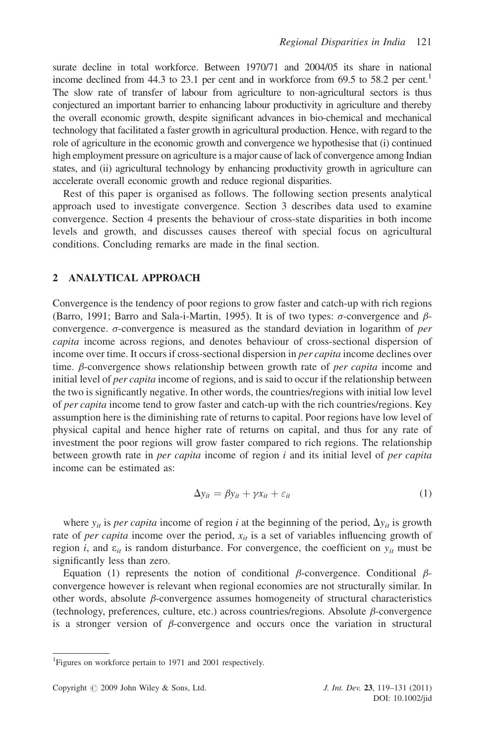surate decline in total workforce. Between 1970/71 and 2004/05 its share in national income declined from  $44.3$  to  $23.1$  per cent and in workforce from  $69.5$  to  $58.2$  per cent.<sup>1</sup> The slow rate of transfer of labour from agriculture to non-agricultural sectors is thus conjectured an important barrier to enhancing labour productivity in agriculture and thereby the overall economic growth, despite significant advances in bio-chemical and mechanical technology that facilitated a faster growth in agricultural production. Hence, with regard to the role of agriculture in the economic growth and convergence we hypothesise that (i) continued high employment pressure on agriculture is a major cause of lack of convergence among Indian states, and (ii) agricultural technology by enhancing productivity growth in agriculture can accelerate overall economic growth and reduce regional disparities.

Rest of this paper is organised as follows. The following section presents analytical approach used to investigate convergence. Section 3 describes data used to examine convergence. Section 4 presents the behaviour of cross-state disparities in both income levels and growth, and discusses causes thereof with special focus on agricultural conditions. Concluding remarks are made in the final section.

## 2 ANALYTICAL APPROACH

Convergence is the tendency of poor regions to grow faster and catch-up with rich regions (Barro, 1991; Barro and Sala-i-Martin, 1995). It is of two types:  $\sigma$ -convergence and  $\beta$ convergence.  $\sigma$ -convergence is measured as the standard deviation in logarithm of *per* capita income across regions, and denotes behaviour of cross-sectional dispersion of income over time. It occurs if cross-sectional dispersion in *per capita* income declines over time.  $\beta$ -convergence shows relationship between growth rate of *per capita* income and initial level of *per capita* income of regions, and is said to occur if the relationship between the two is significantly negative. In other words, the countries/regions with initial low level of per capita income tend to grow faster and catch-up with the rich countries/regions. Key assumption here is the diminishing rate of returns to capital. Poor regions have low level of physical capital and hence higher rate of returns on capital, and thus for any rate of investment the poor regions will grow faster compared to rich regions. The relationship between growth rate in *per capita* income of region  $i$  and its initial level of *per capita* income can be estimated as:

$$
\Delta y_{it} = \beta y_{it} + \gamma x_{it} + \varepsilon_{it} \tag{1}
$$

where  $y_{it}$  is *per capita* income of region i at the beginning of the period,  $\Delta y_{it}$  is growth rate of *per capita* income over the period,  $x_{it}$  is a set of variables influencing growth of region i, and  $\varepsilon_{it}$  is random disturbance. For convergence, the coefficient on  $y_{it}$  must be significantly less than zero.

Equation (1) represents the notion of conditional  $\beta$ -convergence. Conditional  $\beta$ convergence however is relevant when regional economies are not structurally similar. In other words, absolute  $\beta$ -convergence assumes homogeneity of structural characteristics (technology, preferences, culture, etc.) across countries/regions. Absolute  $\beta$ -convergence is a stronger version of  $\beta$ -convergence and occurs once the variation in structural

<sup>&</sup>lt;sup>1</sup>Figures on workforce pertain to 1971 and 2001 respectively.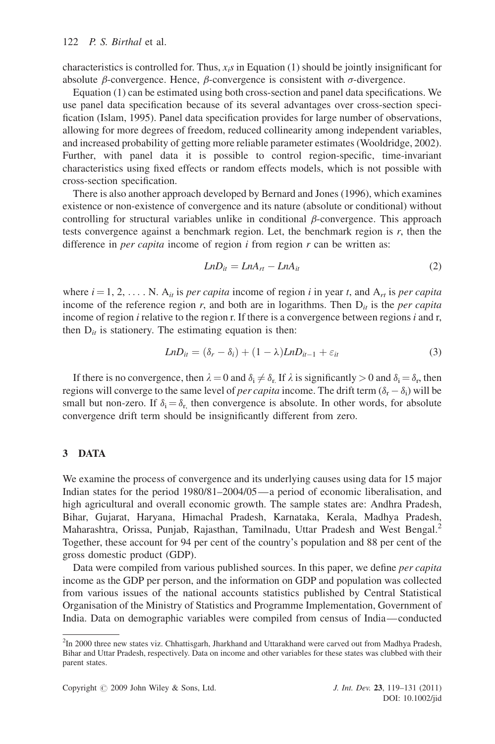characteristics is controlled for. Thus,  $x_i s$  in Equation (1) should be jointly insignificant for absolute  $\beta$ -convergence. Hence,  $\beta$ -convergence is consistent with  $\sigma$ -divergence.

Equation (1) can be estimated using both cross-section and panel data specifications. We use panel data specification because of its several advantages over cross-section specification (Islam, 1995). Panel data specification provides for large number of observations, allowing for more degrees of freedom, reduced collinearity among independent variables, and increased probability of getting more reliable parameter estimates (Wooldridge, 2002). Further, with panel data it is possible to control region-specific, time-invariant characteristics using fixed effects or random effects models, which is not possible with cross-section specification.

There is also another approach developed by Bernard and Jones (1996), which examines existence or non-existence of convergence and its nature (absolute or conditional) without controlling for structural variables unlike in conditional  $\beta$ -convergence. This approach tests convergence against a benchmark region. Let, the benchmark region is  $r$ , then the difference in *per capita* income of region  $i$  from region  $r$  can be written as:

$$
LnD_{it} = LnA_{rt} - LnA_{it}
$$
 (2)

where  $i = 1, 2, \ldots$ . N.  $A_{it}$  is per capita income of region i in year t, and  $A_{rt}$  is per capita income of the reference region r, and both are in logarithms. Then  $D_{it}$  is the *per capita* income of region  $i$  relative to the region r. If there is a convergence between regions  $i$  and  $r$ , then  $D_{it}$  is stationery. The estimating equation is then:

$$
LnD_{it} = (\delta_r - \delta_i) + (1 - \lambda)LnD_{it-1} + \varepsilon_{it}
$$
\n(3)

If there is no convergence, then  $\lambda = 0$  and  $\delta_i \neq \delta_{\rm r}$ . If  $\lambda$  is significantly  $> 0$  and  $\delta_i = \delta_{\rm r}$ , then regions will converge to the same level of *per capita* income. The drift term  $(\delta_r - \delta_i)$  will be small but non-zero. If  $\delta_i = \delta_{r_i}$ , then convergence is absolute. In other words, for absolute convergence drift term should be insignificantly different from zero.

#### 3 DATA

We examine the process of convergence and its underlying causes using data for 15 major Indian states for the period 1980/81–2004/05—a period of economic liberalisation, and high agricultural and overall economic growth. The sample states are: Andhra Pradesh, Bihar, Gujarat, Haryana, Himachal Pradesh, Karnataka, Kerala, Madhya Pradesh, Maharashtra, Orissa, Punjab, Rajasthan, Tamilnadu, Uttar Pradesh and West Bengal.<sup>2</sup> Together, these account for 94 per cent of the country's population and 88 per cent of the gross domestic product (GDP).

Data were compiled from various published sources. In this paper, we define per capita income as the GDP per person, and the information on GDP and population was collected from various issues of the national accounts statistics published by Central Statistical Organisation of the Ministry of Statistics and Programme Implementation, Government of India. Data on demographic variables were compiled from census of India—conducted

<sup>&</sup>lt;sup>2</sup>In 2000 three new states viz. Chhattisgarh, Jharkhand and Uttarakhand were carved out from Madhya Pradesh, Bihar and Uttar Pradesh, respectively. Data on income and other variables for these states was clubbed with their parent states.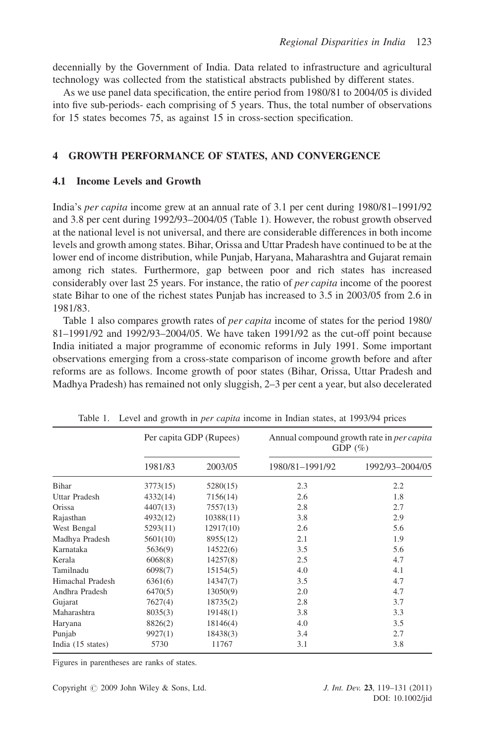decennially by the Government of India. Data related to infrastructure and agricultural technology was collected from the statistical abstracts published by different states.

As we use panel data specification, the entire period from 1980/81 to 2004/05 is divided into five sub-periods- each comprising of 5 years. Thus, the total number of observations for 15 states becomes 75, as against 15 in cross-section specification.

#### 4 GROWTH PERFORMANCE OF STATES, AND CONVERGENCE

#### 4.1 Income Levels and Growth

India's per capita income grew at an annual rate of 3.1 per cent during 1980/81–1991/92 and 3.8 per cent during 1992/93–2004/05 (Table 1). However, the robust growth observed at the national level is not universal, and there are considerable differences in both income levels and growth among states. Bihar, Orissa and Uttar Pradesh have continued to be at the lower end of income distribution, while Punjab, Haryana, Maharashtra and Gujarat remain among rich states. Furthermore, gap between poor and rich states has increased considerably over last 25 years. For instance, the ratio of per capita income of the poorest state Bihar to one of the richest states Punjab has increased to 3.5 in 2003/05 from 2.6 in 1981/83.

Table 1 also compares growth rates of *per capita* income of states for the period 1980/ 81–1991/92 and 1992/93–2004/05. We have taken 1991/92 as the cut-off point because India initiated a major programme of economic reforms in July 1991. Some important observations emerging from a cross-state comparison of income growth before and after reforms are as follows. Income growth of poor states (Bihar, Orissa, Uttar Pradesh and Madhya Pradesh) has remained not only sluggish, 2–3 per cent a year, but also decelerated

|                   |          | Per capita GDP (Rupees) |                 | Annual compound growth rate in <i>per capita</i><br>GDP $(\%)$ |
|-------------------|----------|-------------------------|-----------------|----------------------------------------------------------------|
|                   | 1981/83  | 2003/05                 | 1980/81-1991/92 | 1992/93-2004/05                                                |
| Bihar             | 3773(15) | 5280(15)                | 2.3             | 2.2                                                            |
| Uttar Pradesh     | 4332(14) | 7156(14)                | 2.6             | 1.8                                                            |
| Orissa            | 4407(13) | 7557(13)                | 2.8             | 2.7                                                            |
| Rajasthan         | 4932(12) | 10388(11)               | 3.8             | 2.9                                                            |
| West Bengal       | 5293(11) | 12917(10)               | 2.6             | 5.6                                                            |
| Madhya Pradesh    | 5601(10) | 8955(12)                | 2.1             | 1.9                                                            |
| Karnataka         | 5636(9)  | 14522(6)                | 3.5             | 5.6                                                            |
| Kerala            | 6068(8)  | 14257(8)                | 2.5             | 4.7                                                            |
| Tamilnadu         | 6098(7)  | 15154(5)                | 4.0             | 4.1                                                            |
| Himachal Pradesh  | 6361(6)  | 14347(7)                | 3.5             | 4.7                                                            |
| Andhra Pradesh    | 6470(5)  | 13050(9)                | 2.0             | 4.7                                                            |
| Gujarat           | 7627(4)  | 18735(2)                | 2.8             | 3.7                                                            |
| Maharashtra       | 8035(3)  | 19148(1)                | 3.8             | 3.3                                                            |
| Haryana           | 8826(2)  | 18146(4)                | 4.0             | 3.5                                                            |
| Punjab            | 9927(1)  | 18438(3)                | 3.4             | 2.7                                                            |
| India (15 states) | 5730     | 11767                   | 3.1             | 3.8                                                            |

Table 1. Level and growth in per capita income in Indian states, at 1993/94 prices

Figures in parentheses are ranks of states.

Copyright  $\odot$  2009 John Wiley & Sons, Ltd. J. Int. Dev. 23, 119–131 (2011)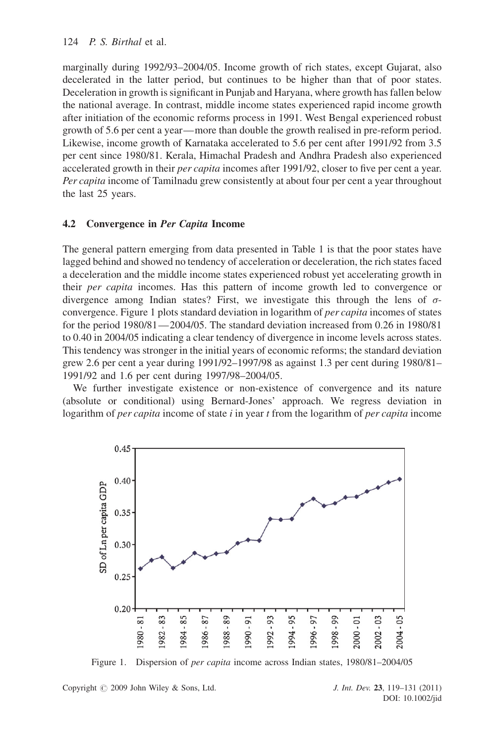marginally during 1992/93–2004/05. Income growth of rich states, except Gujarat, also decelerated in the latter period, but continues to be higher than that of poor states. Deceleration in growth is significant in Punjab and Haryana, where growth has fallen below the national average. In contrast, middle income states experienced rapid income growth after initiation of the economic reforms process in 1991. West Bengal experienced robust growth of 5.6 per cent a year—more than double the growth realised in pre-reform period. Likewise, income growth of Karnataka accelerated to 5.6 per cent after 1991/92 from 3.5 per cent since 1980/81. Kerala, Himachal Pradesh and Andhra Pradesh also experienced accelerated growth in their *per capita* incomes after 1991/92, closer to five per cent a year. Per capita income of Tamilnadu grew consistently at about four per cent a year throughout the last 25 years.

## 4.2 Convergence in Per Capita Income

The general pattern emerging from data presented in Table 1 is that the poor states have lagged behind and showed no tendency of acceleration or deceleration, the rich states faced a deceleration and the middle income states experienced robust yet accelerating growth in their per capita incomes. Has this pattern of income growth led to convergence or divergence among Indian states? First, we investigate this through the lens of  $\sigma$ convergence. Figure 1 plots standard deviation in logarithm of *per capita* incomes of states for the period 1980/81—2004/05. The standard deviation increased from 0.26 in 1980/81 to 0.40 in 2004/05 indicating a clear tendency of divergence in income levels across states. This tendency was stronger in the initial years of economic reforms; the standard deviation grew 2.6 per cent a year during 1991/92–1997/98 as against 1.3 per cent during 1980/81– 1991/92 and 1.6 per cent during 1997/98–2004/05.

We further investigate existence or non-existence of convergence and its nature (absolute or conditional) using Bernard-Jones' approach. We regress deviation in logarithm of *per capita* income of state  $i$  in year  $t$  from the logarithm of *per capita* income



Figure 1. Dispersion of per capita income across Indian states, 1980/81–2004/05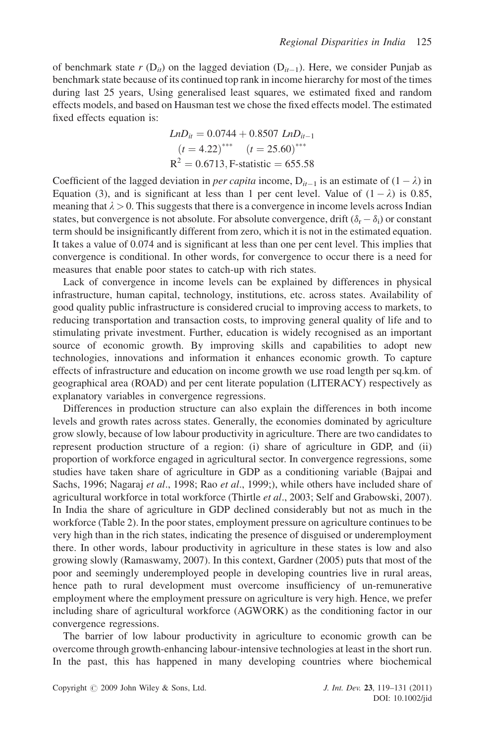of benchmark state r  $(D_{ii})$  on the lagged deviation  $(D_{ii-1})$ . Here, we consider Punjab as benchmark state because of its continued top rank in income hierarchy for most of the times during last 25 years, Using generalised least squares, we estimated fixed and random effects models, and based on Hausman test we chose the fixed effects model. The estimated fixed effects equation is:

$$
LnD_{it} = 0.0744 + 0.8507 LnD_{it-1}
$$
  
(*t* = 4.22)<sup>\*\*\*</sup> (*t* = 25.60)<sup>\*\*\*</sup>  
R<sup>2</sup> = 0.6713, F-statistic = 655.58

Coefficient of the lagged deviation in *per capita* income,  $D_{it-1}$  is an estimate of  $(1 - \lambda)$  in Equation (3), and is significant at less than 1 per cent level. Value of  $(1 - \lambda)$  is 0.85, meaning that  $\lambda > 0$ . This suggests that there is a convergence in income levels across Indian states, but convergence is not absolute. For absolute convergence, drift  $(\delta_r - \delta_i)$  or constant term should be insignificantly different from zero, which it is not in the estimated equation. It takes a value of 0.074 and is significant at less than one per cent level. This implies that convergence is conditional. In other words, for convergence to occur there is a need for measures that enable poor states to catch-up with rich states.

Lack of convergence in income levels can be explained by differences in physical infrastructure, human capital, technology, institutions, etc. across states. Availability of good quality public infrastructure is considered crucial to improving access to markets, to reducing transportation and transaction costs, to improving general quality of life and to stimulating private investment. Further, education is widely recognised as an important source of economic growth. By improving skills and capabilities to adopt new technologies, innovations and information it enhances economic growth. To capture effects of infrastructure and education on income growth we use road length per sq.km. of geographical area (ROAD) and per cent literate population (LITERACY) respectively as explanatory variables in convergence regressions.

Differences in production structure can also explain the differences in both income levels and growth rates across states. Generally, the economies dominated by agriculture grow slowly, because of low labour productivity in agriculture. There are two candidates to represent production structure of a region: (i) share of agriculture in GDP, and (ii) proportion of workforce engaged in agricultural sector. In convergence regressions, some studies have taken share of agriculture in GDP as a conditioning variable (Bajpai and Sachs, 1996; Nagaraj et al., 1998; Rao et al., 1999;), while others have included share of agricultural workforce in total workforce (Thirtle et al., 2003; Self and Grabowski, 2007). In India the share of agriculture in GDP declined considerably but not as much in the workforce (Table 2). In the poor states, employment pressure on agriculture continues to be very high than in the rich states, indicating the presence of disguised or underemployment there. In other words, labour productivity in agriculture in these states is low and also growing slowly (Ramaswamy, 2007). In this context, Gardner (2005) puts that most of the poor and seemingly underemployed people in developing countries live in rural areas, hence path to rural development must overcome insufficiency of un-remunerative employment where the employment pressure on agriculture is very high. Hence, we prefer including share of agricultural workforce (AGWORK) as the conditioning factor in our convergence regressions.

The barrier of low labour productivity in agriculture to economic growth can be overcome through growth-enhancing labour-intensive technologies at least in the short run. In the past, this has happened in many developing countries where biochemical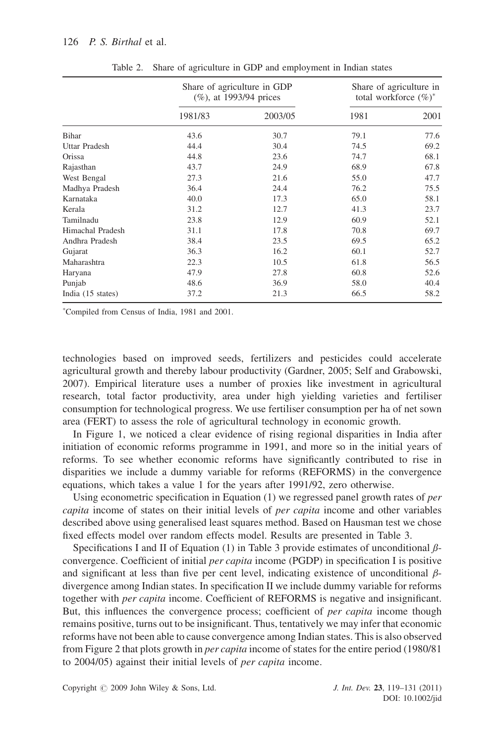#### 126 P. S. Birthal et al.

|                   |         | Share of agriculture in GDP<br>$(\%)$ , at 1993/94 prices |      | Share of agriculture in<br>total workforce $(\%)^*$ |
|-------------------|---------|-----------------------------------------------------------|------|-----------------------------------------------------|
|                   | 1981/83 | 2003/05                                                   | 1981 | 2001                                                |
| Bihar             | 43.6    | 30.7                                                      | 79.1 | 77.6                                                |
| Uttar Pradesh     | 44.4    | 30.4                                                      | 74.5 | 69.2                                                |
| Orissa            | 44.8    | 23.6                                                      | 74.7 | 68.1                                                |
| Rajasthan         | 43.7    | 24.9                                                      | 68.9 | 67.8                                                |
| West Bengal       | 27.3    | 21.6                                                      | 55.0 | 47.7                                                |
| Madhya Pradesh    | 36.4    | 24.4                                                      | 76.2 | 75.5                                                |
| Karnataka         | 40.0    | 17.3                                                      | 65.0 | 58.1                                                |
| Kerala            | 31.2    | 12.7                                                      | 41.3 | 23.7                                                |
| Tamilnadu         | 23.8    | 12.9                                                      | 60.9 | 52.1                                                |
| Himachal Pradesh  | 31.1    | 17.8                                                      | 70.8 | 69.7                                                |
| Andhra Pradesh    | 38.4    | 23.5                                                      | 69.5 | 65.2                                                |
| Gujarat           | 36.3    | 16.2                                                      | 60.1 | 52.7                                                |
| Maharashtra       | 22.3    | 10.5                                                      | 61.8 | 56.5                                                |
| Haryana           | 47.9    | 27.8                                                      | 60.8 | 52.6                                                |
| Punjab            | 48.6    | 36.9                                                      | 58.0 | 40.4                                                |
| India (15 states) | 37.2    | 21.3                                                      | 66.5 | 58.2                                                |

Table 2. Share of agriculture in GDP and employment in Indian states

- Compiled from Census of India, 1981 and 2001.

technologies based on improved seeds, fertilizers and pesticides could accelerate agricultural growth and thereby labour productivity (Gardner, 2005; Self and Grabowski, 2007). Empirical literature uses a number of proxies like investment in agricultural research, total factor productivity, area under high yielding varieties and fertiliser consumption for technological progress. We use fertiliser consumption per ha of net sown area (FERT) to assess the role of agricultural technology in economic growth.

In Figure 1, we noticed a clear evidence of rising regional disparities in India after initiation of economic reforms programme in 1991, and more so in the initial years of reforms. To see whether economic reforms have significantly contributed to rise in disparities we include a dummy variable for reforms (REFORMS) in the convergence equations, which takes a value 1 for the years after 1991/92, zero otherwise.

Using econometric specification in Equation  $(1)$  we regressed panel growth rates of *per* capita income of states on their initial levels of *per capita* income and other variables described above using generalised least squares method. Based on Hausman test we chose fixed effects model over random effects model. Results are presented in Table 3.

Specifications I and II of Equation (1) in Table 3 provide estimates of unconditional  $\beta$ convergence. Coefficient of initial *per capita* income (PGDP) in specification I is positive and significant at less than five per cent level, indicating existence of unconditional  $\beta$ divergence among Indian states. In specification II we include dummy variable for reforms together with *per capita* income. Coefficient of REFORMS is negative and insignificant. But, this influences the convergence process; coefficient of *per capita* income though remains positive, turns out to be insignificant. Thus, tentatively we may infer that economic reforms have not been able to cause convergence among Indian states. This is also observed from Figure 2 that plots growth in *per capita* income of states for the entire period (1980/81) to 2004/05) against their initial levels of *per capita* income.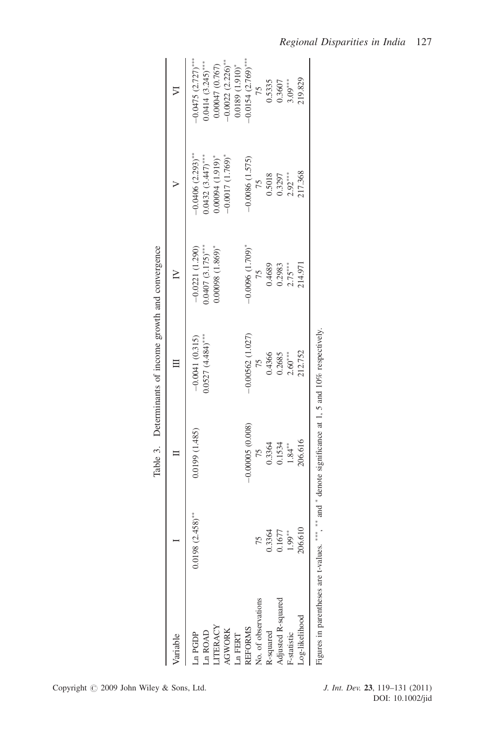|                     |                     |                                                                                                       | Table 3. Determinants of income growth and convergence |                       |                                   |                                 |
|---------------------|---------------------|-------------------------------------------------------------------------------------------------------|--------------------------------------------------------|-----------------------|-----------------------------------|---------------------------------|
| ariable             |                     |                                                                                                       |                                                        |                       |                                   |                                 |
| In PGDP             | $0.0198 (2.458)$ ** | 0.0199(1.485)                                                                                         | $-0.0041(0.315)$                                       | $-0.0221(1.290)$      | $-0.0406$ $(2.293)$ <sup>**</sup> | $-0.0475$ $(2.727)$ ***         |
| Jn ROAD             |                     |                                                                                                       | $0.0527(4.484)^{***}$                                  | $0.0407 (3.175)$ ***  | $0.0432(3.447)$ ***               | $0.0414$ $(3.245)$ ***          |
| <b>ITERACY</b>      |                     |                                                                                                       |                                                        | $0.00098$ $(1.869)^*$ | $0.00094(1.919)^{*}$              | 0.00047 (0.767)                 |
| AGWORK              |                     |                                                                                                       |                                                        |                       | $-0.0017$ (1.769)*                | $-0.0022$ (2.226) <sup>**</sup> |
| INHI n.             |                     |                                                                                                       |                                                        |                       |                                   | $0.0189$ $(1.910)^*$            |
| REFORMS             |                     | $-0.00005(0.008)$                                                                                     | $-0.00562$ (1.027)                                     | $-0.0096$ (1.709)*    | $-0.0086(1.575)$                  | $0.0154 (2.769)$ ***            |
| No. of observations |                     | 75                                                                                                    | 75                                                     | 75                    | 75                                | 75                              |
| R-squared           | 0.3364              | 0.3364                                                                                                | 0.4366                                                 | 0.4689                | 0.5018                            | 0.5335                          |
| Adjusted R-squared  | 0.1677              | 0.1534                                                                                                | 0.2685                                                 | 0.2983                | 0.3297                            | 0.3607                          |
| F-statistic         | $1.99***$           | $1.84***$                                                                                             | $2.60***$                                              | $2.75***$             | $2.92***$                         | $3.09***$                       |
| Log-likelihood      | 206.61              | 206.616                                                                                               | 212.752                                                | 214.971               | 17.368                            | 219.829                         |
|                     |                     | Figures in parentheses are t-values. ***, *** and * denote significance at 1, 5 and 10% respectively. |                                                        |                       |                                   |                                 |

Regional Disparities in India 127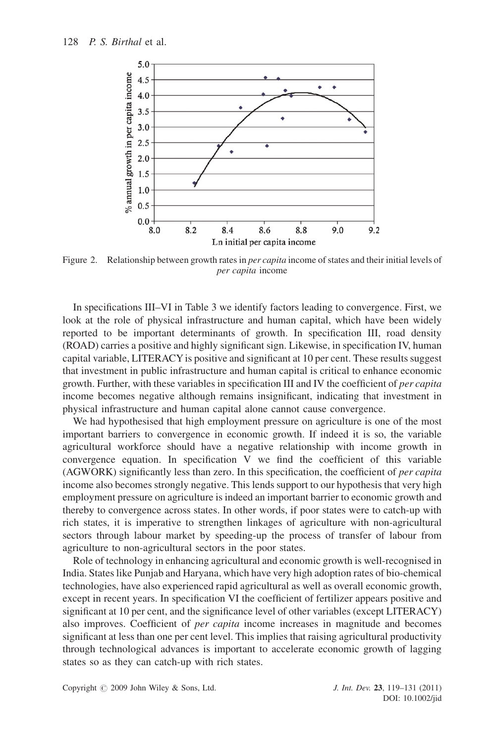

Figure 2. Relationship between growth rates in *per capita* income of states and their initial levels of per capita income

In specifications III–VI in Table 3 we identify factors leading to convergence. First, we look at the role of physical infrastructure and human capital, which have been widely reported to be important determinants of growth. In specification III, road density (ROAD) carries a positive and highly significant sign. Likewise, in specification IV, human capital variable, LITERACY is positive and significant at 10 per cent. These results suggest that investment in public infrastructure and human capital is critical to enhance economic growth. Further, with these variables in specification III and IV the coefficient of *per capita* income becomes negative although remains insignificant, indicating that investment in physical infrastructure and human capital alone cannot cause convergence.

We had hypothesised that high employment pressure on agriculture is one of the most important barriers to convergence in economic growth. If indeed it is so, the variable agricultural workforce should have a negative relationship with income growth in convergence equation. In specification V we find the coefficient of this variable (AGWORK) significantly less than zero. In this specification, the coefficient of *per capita* income also becomes strongly negative. This lends support to our hypothesis that very high employment pressure on agriculture is indeed an important barrier to economic growth and thereby to convergence across states. In other words, if poor states were to catch-up with rich states, it is imperative to strengthen linkages of agriculture with non-agricultural sectors through labour market by speeding-up the process of transfer of labour from agriculture to non-agricultural sectors in the poor states.

Role of technology in enhancing agricultural and economic growth is well-recognised in India. States like Punjab and Haryana, which have very high adoption rates of bio-chemical technologies, have also experienced rapid agricultural as well as overall economic growth, except in recent years. In specification VI the coefficient of fertilizer appears positive and significant at 10 per cent, and the significance level of other variables (except LITERACY) also improves. Coefficient of *per capita* income increases in magnitude and becomes significant at less than one per cent level. This implies that raising agricultural productivity through technological advances is important to accelerate economic growth of lagging states so as they can catch-up with rich states.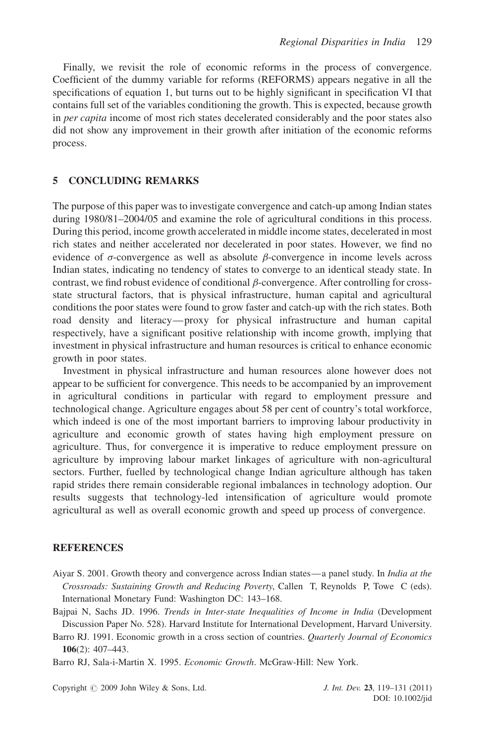Finally, we revisit the role of economic reforms in the process of convergence. Coefficient of the dummy variable for reforms (REFORMS) appears negative in all the specifications of equation 1, but turns out to be highly significant in specification VI that contains full set of the variables conditioning the growth. This is expected, because growth in *per capita* income of most rich states decelerated considerably and the poor states also did not show any improvement in their growth after initiation of the economic reforms process.

### 5 CONCLUDING REMARKS

The purpose of this paper was to investigate convergence and catch-up among Indian states during 1980/81–2004/05 and examine the role of agricultural conditions in this process. During this period, income growth accelerated in middle income states, decelerated in most rich states and neither accelerated nor decelerated in poor states. However, we find no evidence of  $\sigma$ -convergence as well as absolute  $\beta$ -convergence in income levels across Indian states, indicating no tendency of states to converge to an identical steady state. In contrast, we find robust evidence of conditional  $\beta$ -convergence. After controlling for crossstate structural factors, that is physical infrastructure, human capital and agricultural conditions the poor states were found to grow faster and catch-up with the rich states. Both road density and literacy—proxy for physical infrastructure and human capital respectively, have a significant positive relationship with income growth, implying that investment in physical infrastructure and human resources is critical to enhance economic growth in poor states.

Investment in physical infrastructure and human resources alone however does not appear to be sufficient for convergence. This needs to be accompanied by an improvement in agricultural conditions in particular with regard to employment pressure and technological change. Agriculture engages about 58 per cent of country's total workforce, which indeed is one of the most important barriers to improving labour productivity in agriculture and economic growth of states having high employment pressure on agriculture. Thus, for convergence it is imperative to reduce employment pressure on agriculture by improving labour market linkages of agriculture with non-agricultural sectors. Further, fuelled by technological change Indian agriculture although has taken rapid strides there remain considerable regional imbalances in technology adoption. Our results suggests that technology-led intensification of agriculture would promote agricultural as well as overall economic growth and speed up process of convergence.

#### **REFERENCES**

- Aiyar S. 2001. Growth theory and convergence across Indian states—a panel study. In *India at the* Crossroads: Sustaining Growth and Reducing Poverty, Callen T, Reynolds P, Towe C (eds). International Monetary Fund: Washington DC: 143–168.
- Bajpai N, Sachs JD. 1996. Trends in Inter-state Inequalities of Income in India (Development Discussion Paper No. 528). Harvard Institute for International Development, Harvard University.
- Barro RJ. 1991. Economic growth in a cross section of countries. Quarterly Journal of Economics 106(2): 407–443.

Barro RJ, Sala-i-Martin X. 1995. Economic Growth. McGraw-Hill: New York.

Copyright  $\odot$  2009 John Wiley & Sons, Ltd. J. Int. Dev. 23, 119–131 (2011)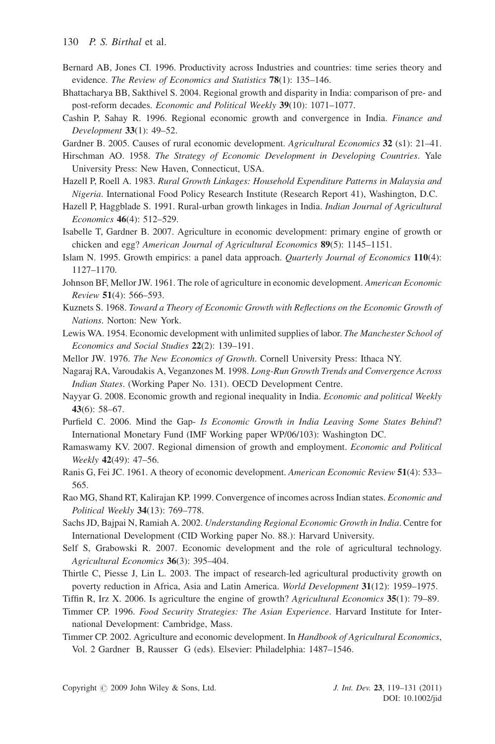- Bernard AB, Jones CI. 1996. Productivity across Industries and countries: time series theory and evidence. The Review of Economics and Statistics 78(1): 135–146.
- Bhattacharya BB, Sakthivel S. 2004. Regional growth and disparity in India: comparison of pre- and post-reform decades. Economic and Political Weekly 39(10): 1071–1077.
- Cashin P, Sahay R. 1996. Regional economic growth and convergence in India. Finance and Development 33(1): 49–52.

Gardner B. 2005. Causes of rural economic development. Agricultural Economics 32 (s1): 21–41.

- Hirschman AO. 1958. The Strategy of Economic Development in Developing Countries. Yale University Press: New Haven, Connecticut, USA.
- Hazell P, Roell A. 1983. Rural Growth Linkages: Household Expenditure Patterns in Malaysia and Nigeria. International Food Policy Research Institute (Research Report 41), Washington, D.C.
- Hazell P, Haggblade S. 1991. Rural-urban growth linkages in India. Indian Journal of Agricultural Economics 46(4): 512–529.
- Isabelle T, Gardner B. 2007. Agriculture in economic development: primary engine of growth or chicken and egg? American Journal of Agricultural Economics 89(5): 1145–1151.
- Islam N. 1995. Growth empirics: a panel data approach. *Quarterly Journal of Economics* 110(4): 1127–1170.
- Johnson BF, Mellor JW. 1961. The role of agriculture in economic development. American Economic Review 51(4): 566–593.
- Kuznets S. 1968. Toward a Theory of Economic Growth with Reflections on the Economic Growth of Nations. Norton: New York.
- Lewis WA. 1954. Economic development with unlimited supplies of labor. The Manchester School of Economics and Social Studies 22(2): 139–191.

Mellor JW. 1976. The New Economics of Growth. Cornell University Press: Ithaca NY.

- Nagaraj RA, Varoudakis A, Veganzones M. 1998. Long-Run Growth Trends and Convergence Across Indian States. (Working Paper No. 131). OECD Development Centre.
- Nayyar G. 2008. Economic growth and regional inequality in India. Economic and political Weekly 43(6): 58–67.
- Purfield C. 2006. Mind the Gap- Is Economic Growth in India Leaving Some States Behind? International Monetary Fund (IMF Working paper WP/06/103): Washington DC.
- Ramaswamy KV. 2007. Regional dimension of growth and employment. Economic and Political Weekly 42(49): 47–56.
- Ranis G, Fei JC. 1961. A theory of economic development. American Economic Review 51(4): 533– 565.
- Rao MG, Shand RT, Kalirajan KP. 1999. Convergence of incomes across Indian states. Economic and Political Weekly 34(13): 769–778.
- Sachs JD, Bajpai N, Ramiah A. 2002. Understanding Regional Economic Growth in India. Centre for International Development (CID Working paper No. 88.): Harvard University.
- Self S, Grabowski R. 2007. Economic development and the role of agricultural technology. Agricultural Economics 36(3): 395–404.
- Thirtle C, Piesse J, Lin L. 2003. The impact of research-led agricultural productivity growth on poverty reduction in Africa, Asia and Latin America. World Development 31(12): 1959–1975.
- Tiffin R, Irz X. 2006. Is agriculture the engine of growth? Agricultural Economics 35(1): 79–89.
- Timmer CP. 1996. Food Security Strategies: The Asian Experience. Harvard Institute for International Development: Cambridge, Mass.
- Timmer CP. 2002. Agriculture and economic development. In Handbook of Agricultural Economics, Vol. 2 Gardner B, Rausser G (eds). Elsevier: Philadelphia: 1487–1546.